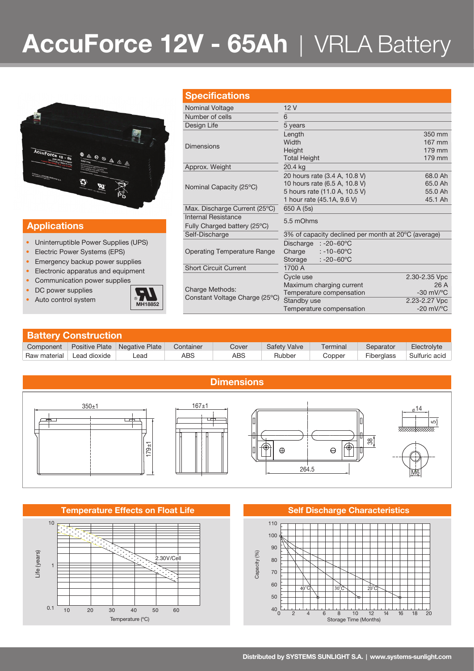# **AccuForce 12V - 65Ah** | VRLA Battery



### **Applications**

- Uninterruptible Power Supplies (UPS)
- Electric Power Systems (EPS)
- Emergency backup power supplies
- Electronic apparatus and equipment
- Communication power supplies
- DC power supplies
- Auto control system



| <b>Specifications</b>                             |                                                      |                                |  |  |  |  |
|---------------------------------------------------|------------------------------------------------------|--------------------------------|--|--|--|--|
| Nominal Voltage                                   | 12V                                                  |                                |  |  |  |  |
| Number of cells                                   | 6                                                    |                                |  |  |  |  |
| Design Life                                       | 5 years                                              |                                |  |  |  |  |
|                                                   | Length                                               | 350 mm                         |  |  |  |  |
| <b>Dimensions</b>                                 | Width                                                | 167 mm                         |  |  |  |  |
|                                                   | Height                                               | 179 mm                         |  |  |  |  |
|                                                   | <b>Total Height</b>                                  | 179 mm                         |  |  |  |  |
| Approx. Weight                                    | 20.4 kg                                              |                                |  |  |  |  |
|                                                   | 20 hours rate (3.4 A, 10.8 V)                        | 68.0 Ah                        |  |  |  |  |
| Nominal Capacity (25°C)                           | 10 hours rate (6.5 A, 10.8 V)                        | 65.0 Ah                        |  |  |  |  |
|                                                   | 5 hours rate (11.0 A, 10.5 V)                        | 55.0 Ah                        |  |  |  |  |
|                                                   | 1 hour rate (45.1A, 9.6 V)                           | 45.1 Ah                        |  |  |  |  |
| Max. Discharge Current (25°C)                     | 650 A (5s)                                           |                                |  |  |  |  |
| Internal Resistance                               | 5.5 mOhms                                            |                                |  |  |  |  |
| Fully Charged battery (25°C)                      |                                                      |                                |  |  |  |  |
| Self-Discharge                                    | 3% of capacity declined per month at 20 °C (average) |                                |  |  |  |  |
|                                                   | Discharge<br>: -20∼60°C                              |                                |  |  |  |  |
| <b>Operating Temperature Range</b>                | Charge<br>$: -10 - 60^{\circ}$ C                     |                                |  |  |  |  |
|                                                   | $: -20 - 60^{\circ}$ C<br>Storage                    |                                |  |  |  |  |
| <b>Short Circuit Current</b>                      | 1700 A                                               |                                |  |  |  |  |
|                                                   | Cycle use                                            | 2.30-2.35 Vpc                  |  |  |  |  |
|                                                   | Maximum charging current                             | 26A                            |  |  |  |  |
| Charge Methods:<br>Constant Voltage Charge (25°C) | Temperature compensation                             | $-30$ mV/ $\mathrm{^{\circ}C}$ |  |  |  |  |
|                                                   | Standby use                                          | 2.23-2.27 Vpc                  |  |  |  |  |
|                                                   | Temperature compensation                             | $-20$ mV/ $\mathrm{^{\circ}C}$ |  |  |  |  |

| <b>Battery Construction</b> |                |                |           |       |                     |          |            |               |  |  |
|-----------------------------|----------------|----------------|-----------|-------|---------------------|----------|------------|---------------|--|--|
| Component                   | Positive Plate | Negative Plate | Container | Cover | <b>Safety Valve</b> | Terminal | Separator  | Electrolyte   |  |  |
| Raw material                | Lead dioxide   | -ead           | ABS       | ABS   | Rubber              | Copper   | Fiberglass | Sulfuric acid |  |  |



#### **Temperature Effects on Float Life <b>Self Discharge Characteristics Self Discharge Characteristics**